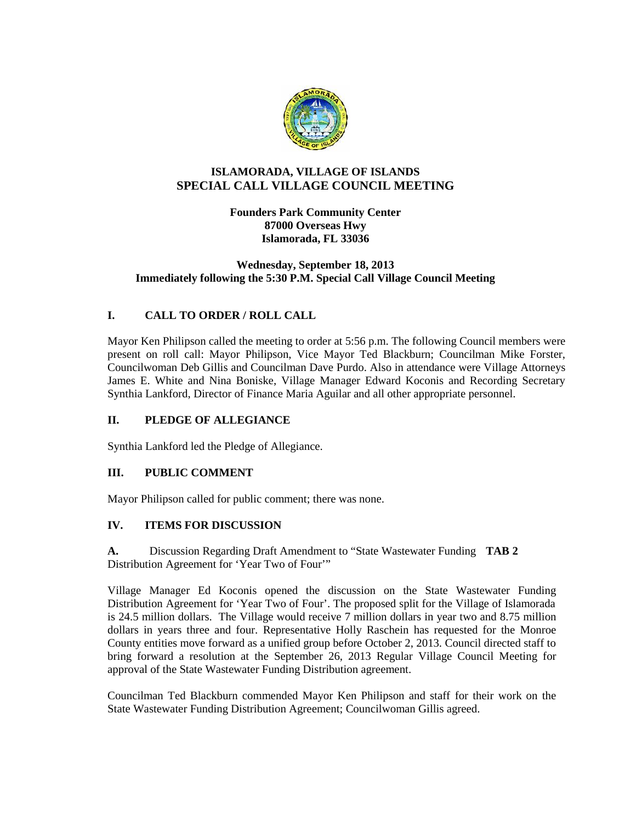

# **ISLAMORADA, VILLAGE OF ISLANDS SPECIAL CALL VILLAGE COUNCIL MEETING**

**Founders Park Community Center 87000 Overseas Hwy Islamorada, FL 33036**

#### **Wednesday, September 18, 2013 Immediately following the 5:30 P.M. Special Call Village Council Meeting**

# **I. CALL TO ORDER / ROLL CALL**

Mayor Ken Philipson called the meeting to order at 5:56 p.m. The following Council members were present on roll call: Mayor Philipson, Vice Mayor Ted Blackburn; Councilman Mike Forster, Councilwoman Deb Gillis and Councilman Dave Purdo. Also in attendance were Village Attorneys James E. White and Nina Boniske, Village Manager Edward Koconis and Recording Secretary Synthia Lankford, Director of Finance Maria Aguilar and all other appropriate personnel.

## **II. PLEDGE OF ALLEGIANCE**

Synthia Lankford led the Pledge of Allegiance.

#### **III. PUBLIC COMMENT**

Mayor Philipson called for public comment; there was none.

## **IV. ITEMS FOR DISCUSSION**

**A.** Discussion Regarding Draft Amendment to "State Wastewater Funding **TAB 2** Distribution Agreement for 'Year Two of Four'"

Village Manager Ed Koconis opened the discussion on the State Wastewater Funding Distribution Agreement for 'Year Two of Four'. The proposed split for the Village of Islamorada is 24.5 million dollars. The Village would receive 7 million dollars in year two and 8.75 million dollars in years three and four. Representative Holly Raschein has requested for the Monroe County entities move forward as a unified group before October 2, 2013. Council directed staff to bring forward a resolution at the September 26, 2013 Regular Village Council Meeting for approval of the State Wastewater Funding Distribution agreement.

Councilman Ted Blackburn commended Mayor Ken Philipson and staff for their work on the State Wastewater Funding Distribution Agreement; Councilwoman Gillis agreed.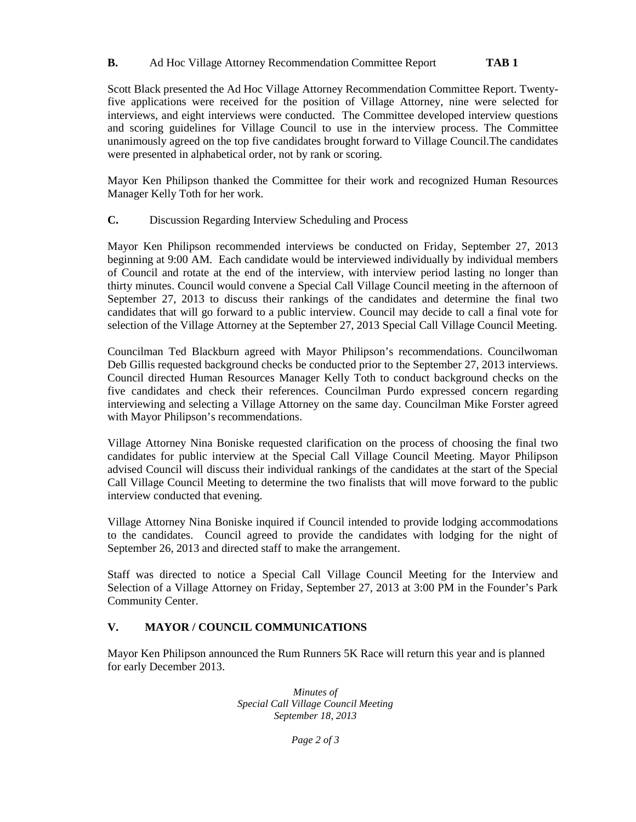### **B.** Ad Hoc Village Attorney Recommendation Committee Report **TAB 1**

Scott Black presented the Ad Hoc Village Attorney Recommendation Committee Report. Twentyfive applications were received for the position of Village Attorney, nine were selected for interviews, and eight interviews were conducted. The Committee developed interview questions and scoring guidelines for Village Council to use in the interview process. The Committee unanimously agreed on the top five candidates brought forward to Village Council.The candidates were presented in alphabetical order, not by rank or scoring.

Mayor Ken Philipson thanked the Committee for their work and recognized Human Resources Manager Kelly Toth for her work.

**C.** Discussion Regarding Interview Scheduling and Process

Mayor Ken Philipson recommended interviews be conducted on Friday, September 27, 2013 beginning at 9:00 AM. Each candidate would be interviewed individually by individual members of Council and rotate at the end of the interview, with interview period lasting no longer than thirty minutes. Council would convene a Special Call Village Council meeting in the afternoon of September 27, 2013 to discuss their rankings of the candidates and determine the final two candidates that will go forward to a public interview. Council may decide to call a final vote for selection of the Village Attorney at the September 27, 2013 Special Call Village Council Meeting.

Councilman Ted Blackburn agreed with Mayor Philipson's recommendations. Councilwoman Deb Gillis requested background checks be conducted prior to the September 27, 2013 interviews. Council directed Human Resources Manager Kelly Toth to conduct background checks on the five candidates and check their references. Councilman Purdo expressed concern regarding interviewing and selecting a Village Attorney on the same day. Councilman Mike Forster agreed with Mayor Philipson's recommendations.

Village Attorney Nina Boniske requested clarification on the process of choosing the final two candidates for public interview at the Special Call Village Council Meeting. Mayor Philipson advised Council will discuss their individual rankings of the candidates at the start of the Special Call Village Council Meeting to determine the two finalists that will move forward to the public interview conducted that evening.

Village Attorney Nina Boniske inquired if Council intended to provide lodging accommodations to the candidates. Council agreed to provide the candidates with lodging for the night of September 26, 2013 and directed staff to make the arrangement.

Staff was directed to notice a Special Call Village Council Meeting for the Interview and Selection of a Village Attorney on Friday, September 27, 2013 at 3:00 PM in the Founder's Park Community Center.

## **V. MAYOR / COUNCIL COMMUNICATIONS**

Mayor Ken Philipson announced the Rum Runners 5K Race will return this year and is planned for early December 2013.

> *Minutes of Special Call Village Council Meeting September 18, 2013*

> > *Page 2 of 3*